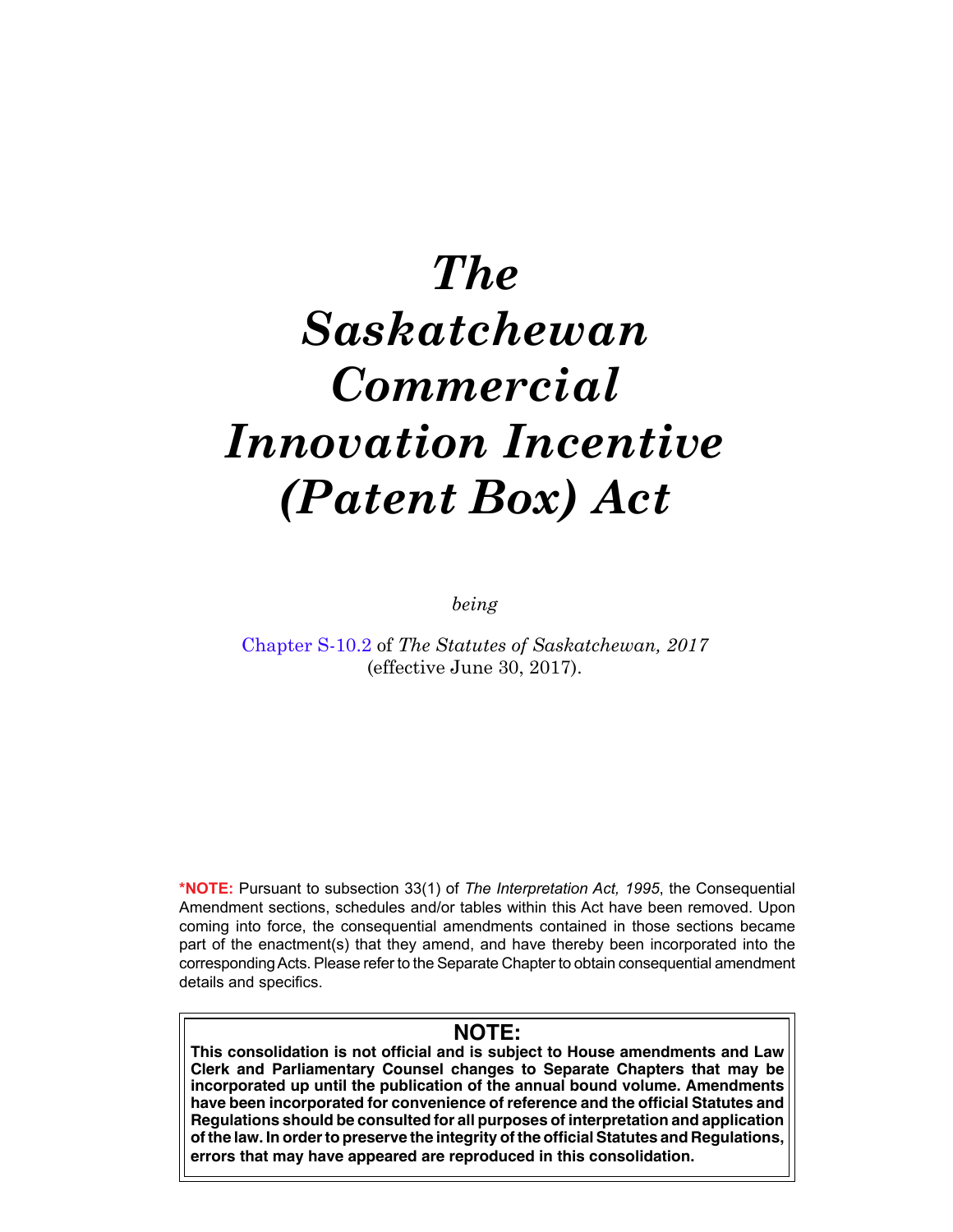# *The Saskatchewan Commercial Innovation Incentive (Patent Box) Act*

*being*

[Chapter S-10.2](https://publications.saskatchewan.ca:443/api/v1/products/85870/formats/99486/download) of *The Statutes of Saskatchewan, 2017* (effective June 30, 2017).

**\*NOTE:** Pursuant to subsection 33(1) of *The Interpretation Act, 1995*, the Consequential Amendment sections, schedules and/or tables within this Act have been removed. Upon coming into force, the consequential amendments contained in those sections became part of the enactment(s) that they amend, and have thereby been incorporated into the corresponding Acts. Please refer to the Separate Chapter to obtain consequential amendment details and specifics.

# **NOTE:**

**This consolidation is not official and is subject to House amendments and Law Clerk and Parliamentary Counsel changes to Separate Chapters that may be incorporated up until the publication of the annual bound volume. Amendments have been incorporated for convenience of reference and the official Statutes and Regulations should be consulted for all purposes of interpretation and application of the law. In order to preserve the integrity of the official Statutes and Regulations, errors that may have appeared are reproduced in this consolidation.**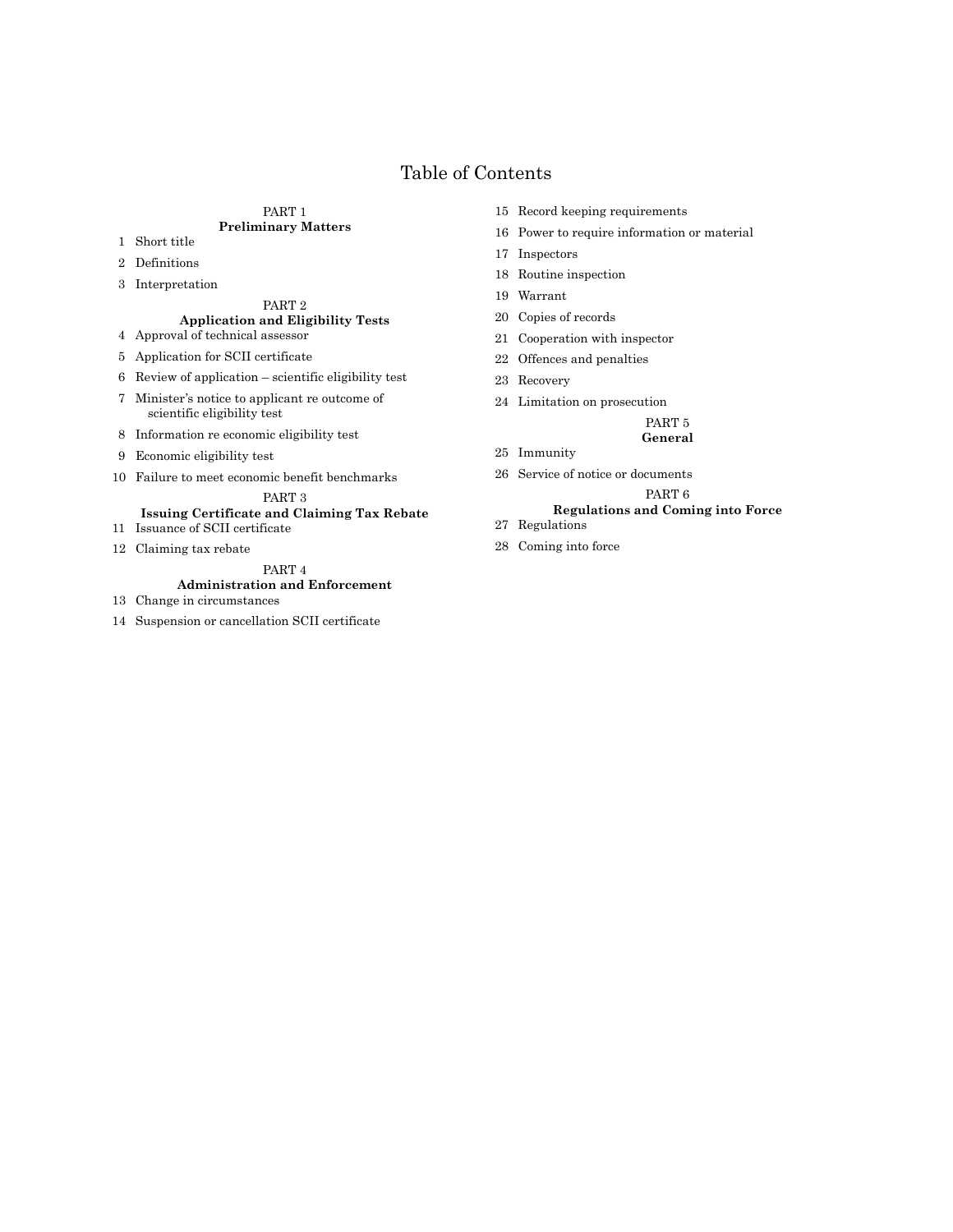# Table of Contents

#### [PART 1](#page-2-0) **[Preliminary Matters](#page-2-0)**

- [Short title](#page-2-0)
- [Definitions](#page-2-0)
- [Interpretation](#page-3-0)

# [PART 2](#page-3-0)

#### **[Application and Eligibility Tests](#page-3-0)** [Approval of technical assessor](#page-3-0)

- [Application for SCII certificate](#page-3-0)
- [Review of application scientific eligibility test](#page-4-0)
- [Minister's notice to applicant re outcome of](#page-4-0)   [scientific eligibility test](#page-4-0)
- [Information re economic eligibility test](#page-5-0)
- [Economic eligibility test](#page-5-0)
- [Failure to meet economic benefit benchmarks](#page-6-0)

#### [PART 3](#page-6-0)

#### **[Issuing Certificate and Claiming Tax Rebate](#page-6-0)**

- [Issuance of SCII certificate](#page-6-0)
- [Claiming tax rebate](#page-7-0)

#### [PART 4](#page-7-0) **[Administration and Enforcement](#page-7-0)**

- [Change in circumstances](#page-7-0)
- [Suspension or cancellation SCII certificate](#page-8-0)
- [Record keeping requirements](#page-8-0)
- [Power to require information or material](#page-9-0)
- [Inspectors](#page-9-0)
- [Routine inspection](#page-9-0)
- [Warrant](#page-10-0)
- [Copies of records](#page-10-0)
- [Cooperation with inspector](#page-11-0)
- [Offences and penalties](#page-11-0)
- [Recovery](#page-12-0)

[Immunity](#page-12-0)

[Limitation on prosecution](#page-12-0)

#### [PART 5](#page-12-0)

#### **[General](#page-12-0)**

[Service of notice or documents](#page-12-0)

#### [PART 6](#page-13-0)

# **[Regulations and Coming into Force](#page-13-0)**

- [Regulations](#page-13-0)
- [Coming into force](#page-14-0)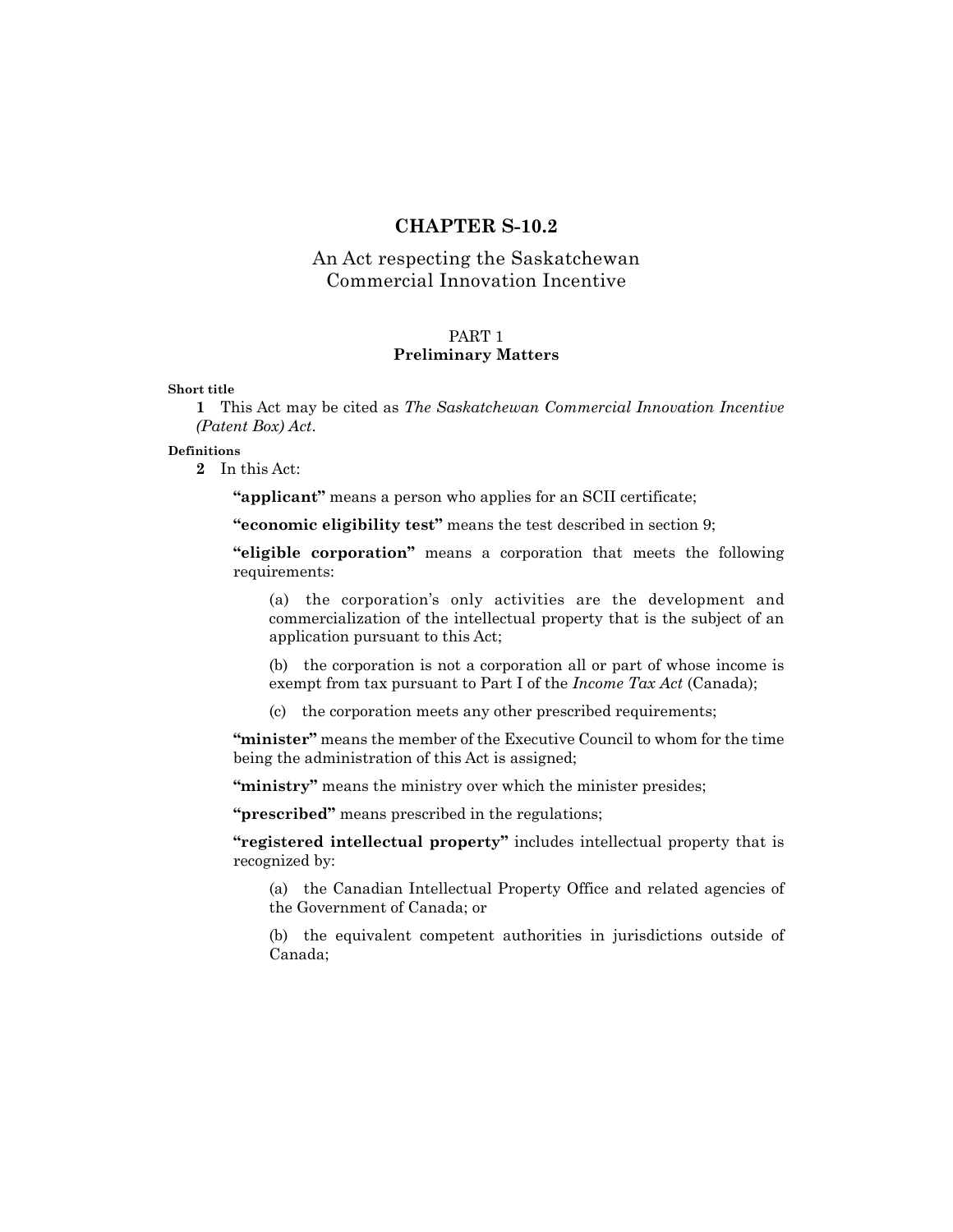# **CHAPTER S-10.2**

# <span id="page-2-0"></span>An Act respecting the Saskatchewan Commercial Innovation Incentive

# PART 1

# **Preliminary Matters**

**Short title**

**1** This Act may be cited as *The Saskatchewan Commercial Innovation Incentive (Patent Box) Act*.

### **Definitions**

**2** In this Act:

**"applicant"** means a person who applies for an SCII certificate;

**"economic eligibility test"** means the test described in section 9;

**"eligible corporation"** means a corporation that meets the following requirements:

(a) the corporation's only activities are the development and commercialization of the intellectual property that is the subject of an application pursuant to this Act;

(b) the corporation is not a corporation all or part of whose income is exempt from tax pursuant to Part I of the *Income Tax Act* (Canada);

(c) the corporation meets any other prescribed requirements;

**"minister"** means the member of the Executive Council to whom for the time being the administration of this Act is assigned;

"ministry" means the ministry over which the minister presides;

**"prescribed"** means prescribed in the regulations;

**"registered intellectual property"** includes intellectual property that is recognized by:

(a) the Canadian Intellectual Property Office and related agencies of the Government of Canada; or

(b) the equivalent competent authorities in jurisdictions outside of Canada;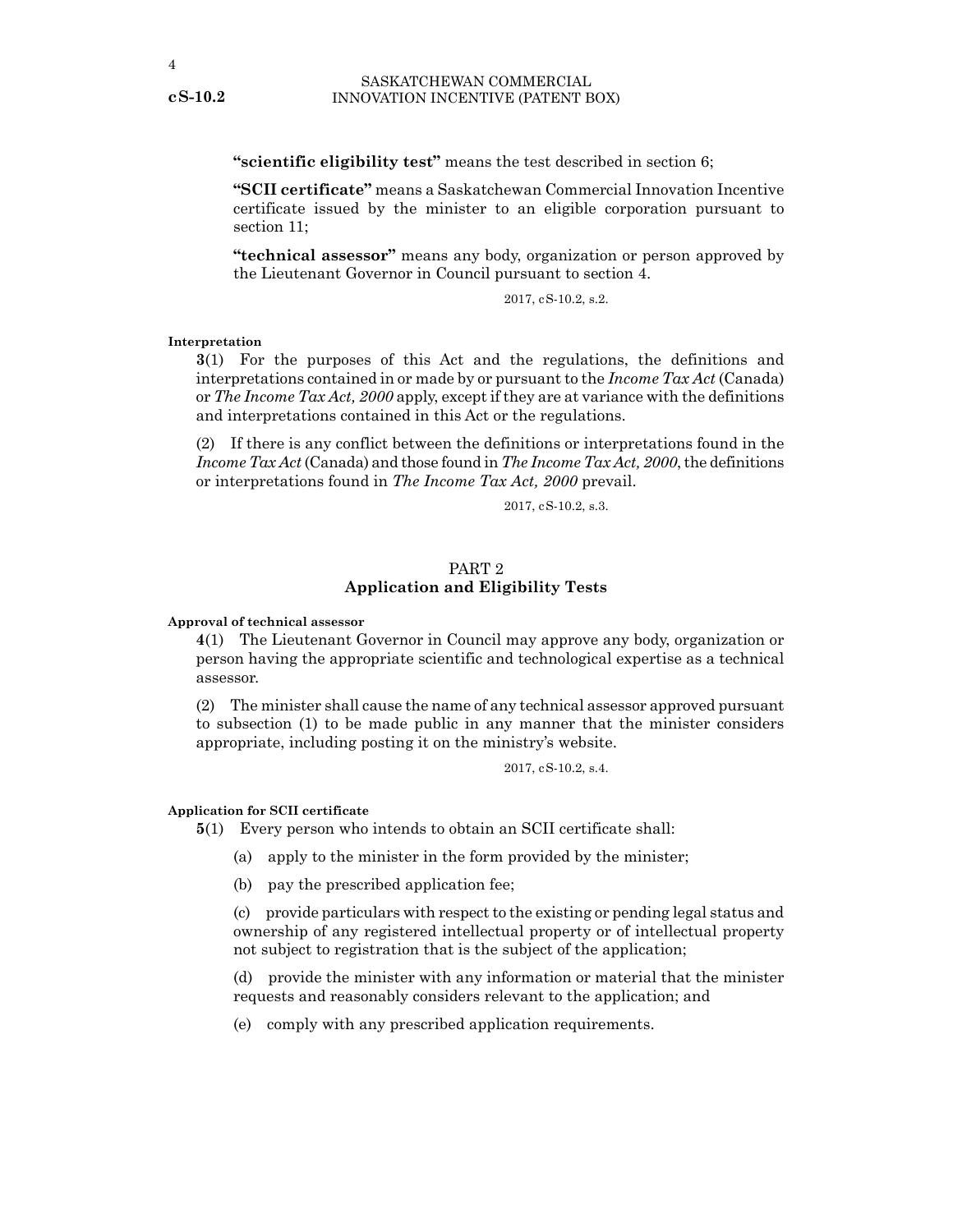<span id="page-3-0"></span>**"scientific eligibility test"** means the test described in section 6;

**"SCII certificate"** means a Saskatchewan Commercial Innovation Incentive certificate issued by the minister to an eligible corporation pursuant to section 11;

**"technical assessor"** means any body, organization or person approved by the Lieutenant Governor in Council pursuant to section 4.

2017, cS-10.2, s.2.

#### **Interpretation**

**3**(1) For the purposes of this Act and the regulations, the definitions and interpretations contained in or made by or pursuant to the *Income Tax Act* (Canada) or *The Income Tax Act, 2000* apply, except if they are at variance with the definitions and interpretations contained in this Act or the regulations.

(2) If there is any conflict between the definitions or interpretations found in the *Income Tax Act* (Canada) and those found in *The Income Tax Act, 2000*, the definitions or interpretations found in *The Income Tax Act, 2000* prevail.

2017, cS-10.2, s.3.

# PART 2 **Application and Eligibility Tests**

#### **Approval of technical assessor**

**4**(1) The Lieutenant Governor in Council may approve any body, organization or person having the appropriate scientific and technological expertise as a technical assessor.

(2) The minister shall cause the name of any technical assessor approved pursuant to subsection (1) to be made public in any manner that the minister considers appropriate, including posting it on the ministry's website.

2017, cS-10.2, s.4.

#### **Application for SCII certificate**

**5**(1) Every person who intends to obtain an SCII certificate shall:

- (a) apply to the minister in the form provided by the minister;
- (b) pay the prescribed application fee;

(c) provide particulars with respect to the existing or pending legal status and ownership of any registered intellectual property or of intellectual property not subject to registration that is the subject of the application;

(d) provide the minister with any information or material that the minister requests and reasonably considers relevant to the application; and

(e) comply with any prescribed application requirements.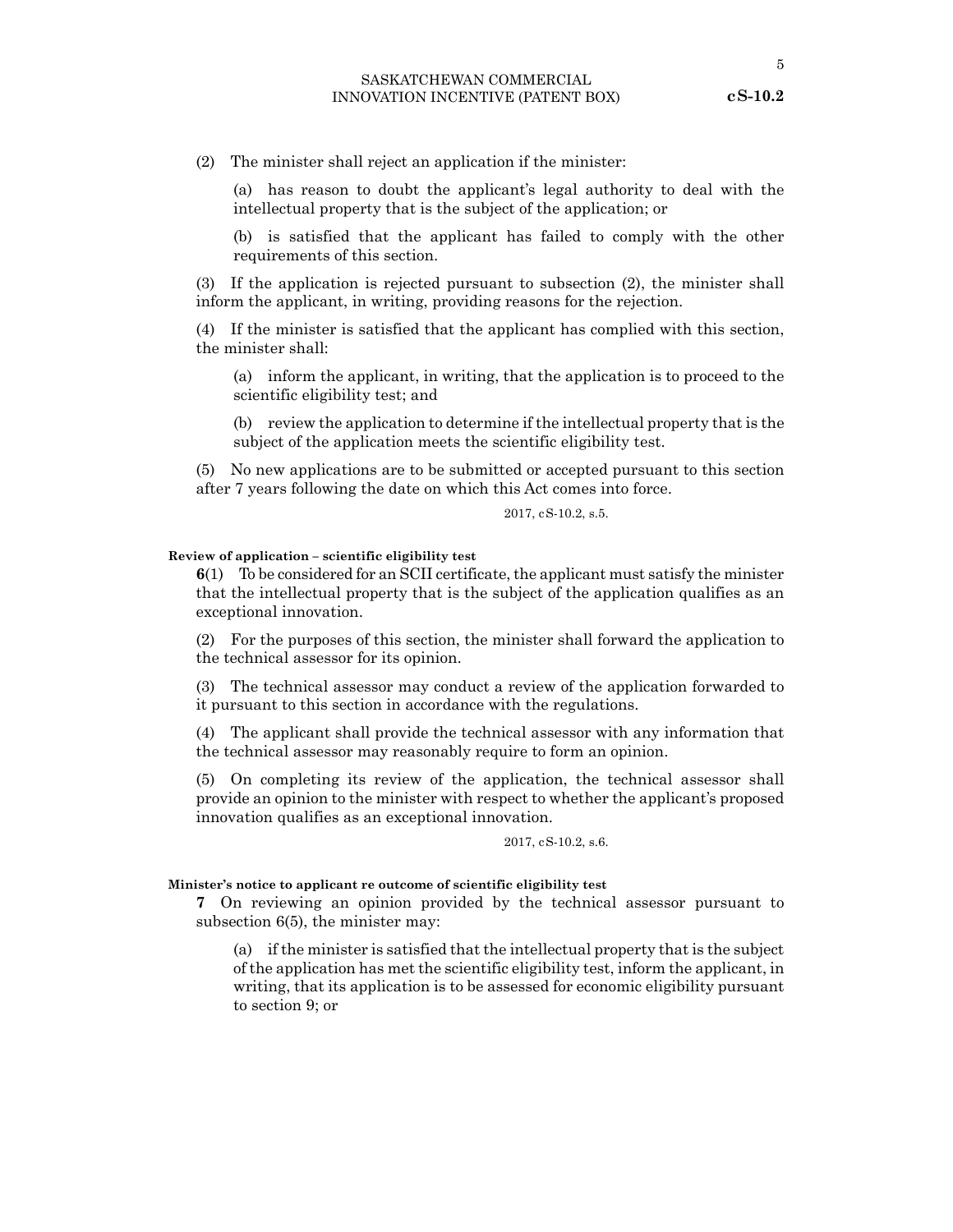5

<span id="page-4-0"></span>(2) The minister shall reject an application if the minister:

(a) has reason to doubt the applicant's legal authority to deal with the intellectual property that is the subject of the application; or

(b) is satisfied that the applicant has failed to comply with the other requirements of this section.

(3) If the application is rejected pursuant to subsection (2), the minister shall inform the applicant, in writing, providing reasons for the rejection.

(4) If the minister is satisfied that the applicant has complied with this section, the minister shall:

(a) inform the applicant, in writing, that the application is to proceed to the scientific eligibility test; and

(b) review the application to determine if the intellectual property that is the subject of the application meets the scientific eligibility test.

(5) No new applications are to be submitted or accepted pursuant to this section after 7 years following the date on which this Act comes into force.

2017, cS-10.2, s.5.

#### **Review of application – scientific eligibility test**

**6**(1) To be considered for an SCII certificate, the applicant must satisfy the minister that the intellectual property that is the subject of the application qualifies as an exceptional innovation.

(2) For the purposes of this section, the minister shall forward the application to the technical assessor for its opinion.

(3) The technical assessor may conduct a review of the application forwarded to it pursuant to this section in accordance with the regulations.

(4) The applicant shall provide the technical assessor with any information that the technical assessor may reasonably require to form an opinion.

(5) On completing its review of the application, the technical assessor shall provide an opinion to the minister with respect to whether the applicant's proposed innovation qualifies as an exceptional innovation.

2017, cS-10.2, s.6.

#### **Minister's notice to applicant re outcome of scientific eligibility test**

**7** On reviewing an opinion provided by the technical assessor pursuant to subsection 6(5), the minister may:

(a) if the minister is satisfied that the intellectual property that is the subject of the application has met the scientific eligibility test, inform the applicant, in writing, that its application is to be assessed for economic eligibility pursuant to section 9; or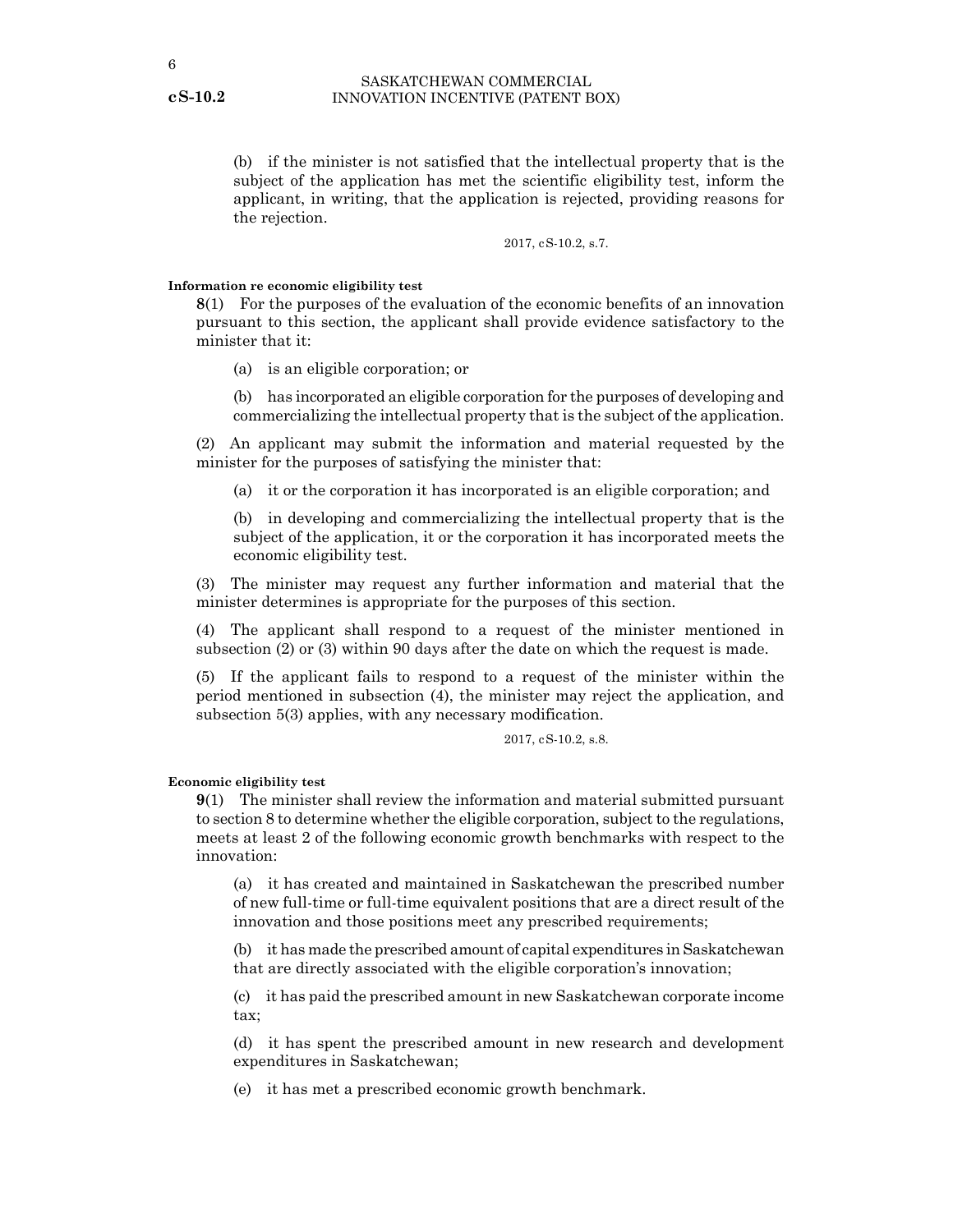<span id="page-5-0"></span>(b) if the minister is not satisfied that the intellectual property that is the subject of the application has met the scientific eligibility test, inform the applicant, in writing, that the application is rejected, providing reasons for the rejection.

2017, cS-10.2, s.7.

#### **Information re economic eligibility test**

**8**(1) For the purposes of the evaluation of the economic benefits of an innovation pursuant to this section, the applicant shall provide evidence satisfactory to the minister that it:

- (a) is an eligible corporation; or
- (b) has incorporated an eligible corporation for the purposes of developing and commercializing the intellectual property that is the subject of the application.

(2) An applicant may submit the information and material requested by the minister for the purposes of satisfying the minister that:

(a) it or the corporation it has incorporated is an eligible corporation; and

(b) in developing and commercializing the intellectual property that is the subject of the application, it or the corporation it has incorporated meets the economic eligibility test.

(3) The minister may request any further information and material that the minister determines is appropriate for the purposes of this section.

(4) The applicant shall respond to a request of the minister mentioned in subsection (2) or (3) within 90 days after the date on which the request is made.

(5) If the applicant fails to respond to a request of the minister within the period mentioned in subsection (4), the minister may reject the application, and subsection 5(3) applies, with any necessary modification.

2017, cS-10.2, s.8.

#### **Economic eligibility test**

**9**(1) The minister shall review the information and material submitted pursuant to section 8 to determine whether the eligible corporation, subject to the regulations, meets at least 2 of the following economic growth benchmarks with respect to the innovation:

(a) it has created and maintained in Saskatchewan the prescribed number of new full-time or full-time equivalent positions that are a direct result of the innovation and those positions meet any prescribed requirements;

(b) it has made the prescribed amount of capital expenditures in Saskatchewan that are directly associated with the eligible corporation's innovation;

(c) it has paid the prescribed amount in new Saskatchewan corporate income tax;

(d) it has spent the prescribed amount in new research and development expenditures in Saskatchewan;

(e) it has met a prescribed economic growth benchmark.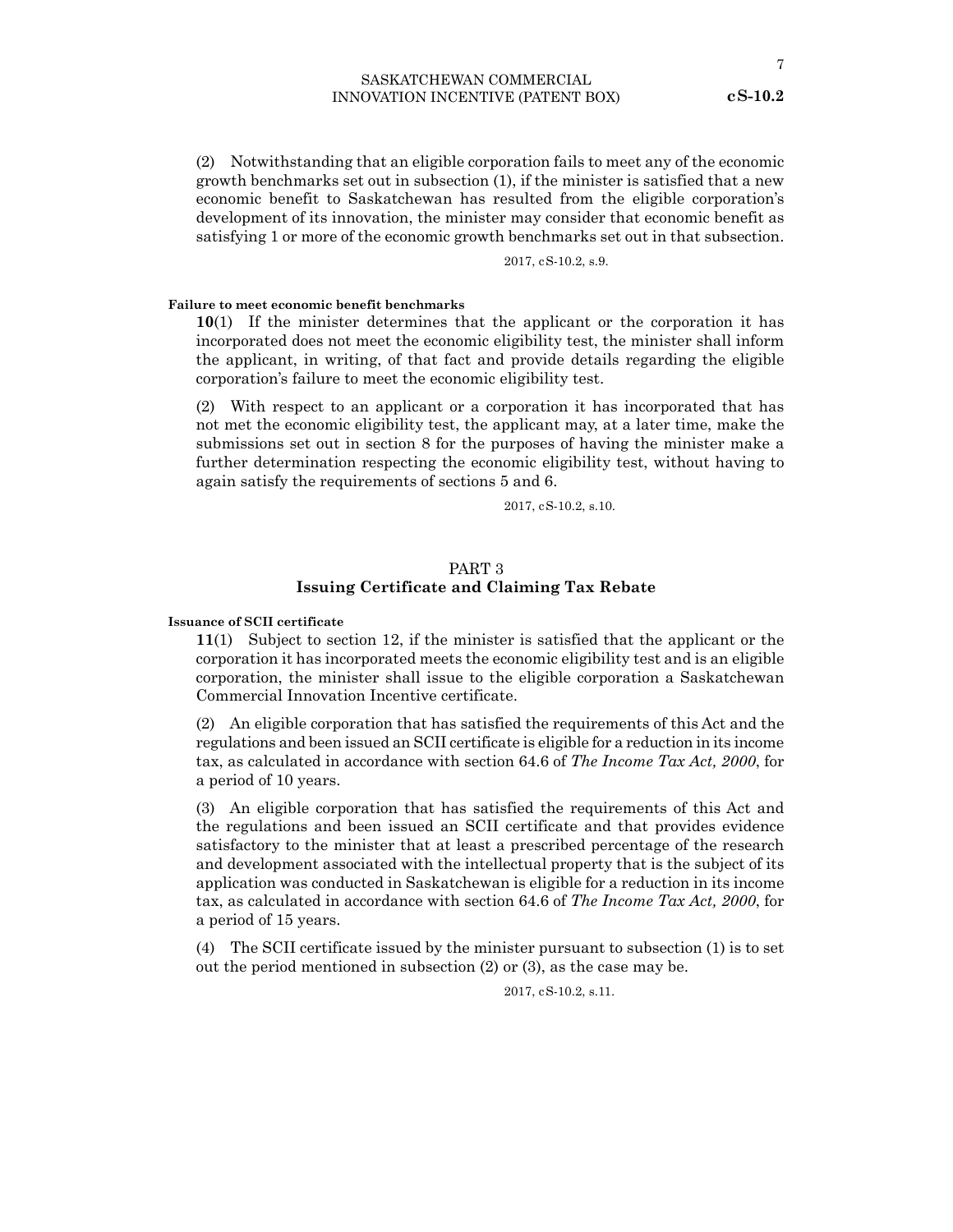<span id="page-6-0"></span>(2) Notwithstanding that an eligible corporation fails to meet any of the economic growth benchmarks set out in subsection (1), if the minister is satisfied that a new economic benefit to Saskatchewan has resulted from the eligible corporation's development of its innovation, the minister may consider that economic benefit as satisfying 1 or more of the economic growth benchmarks set out in that subsection.

2017, cS-10.2, s.9.

#### **Failure to meet economic benefit benchmarks**

**10**(1) If the minister determines that the applicant or the corporation it has incorporated does not meet the economic eligibility test, the minister shall inform the applicant, in writing, of that fact and provide details regarding the eligible corporation's failure to meet the economic eligibility test.

(2) With respect to an applicant or a corporation it has incorporated that has not met the economic eligibility test, the applicant may, at a later time, make the submissions set out in section 8 for the purposes of having the minister make a further determination respecting the economic eligibility test, without having to again satisfy the requirements of sections 5 and 6.

2017, cS-10.2, s.10.

### PART 3 **Issuing Certificate and Claiming Tax Rebate**

#### **Issuance of SCII certificate**

**11**(1) Subject to section 12, if the minister is satisfied that the applicant or the corporation it has incorporated meets the economic eligibility test and is an eligible corporation, the minister shall issue to the eligible corporation a Saskatchewan Commercial Innovation Incentive certificate.

(2) An eligible corporation that has satisfied the requirements of this Act and the regulations and been issued an SCII certificate is eligible for a reduction in its income tax, as calculated in accordance with section 64.6 of *The Income Tax Act, 2000*, for a period of 10 years.

(3) An eligible corporation that has satisfied the requirements of this Act and the regulations and been issued an SCII certificate and that provides evidence satisfactory to the minister that at least a prescribed percentage of the research and development associated with the intellectual property that is the subject of its application was conducted in Saskatchewan is eligible for a reduction in its income tax, as calculated in accordance with section 64.6 of *The Income Tax Act, 2000*, for a period of 15 years.

(4) The SCII certificate issued by the minister pursuant to subsection (1) is to set out the period mentioned in subsection (2) or (3), as the case may be.

2017, cS-10.2, s.11.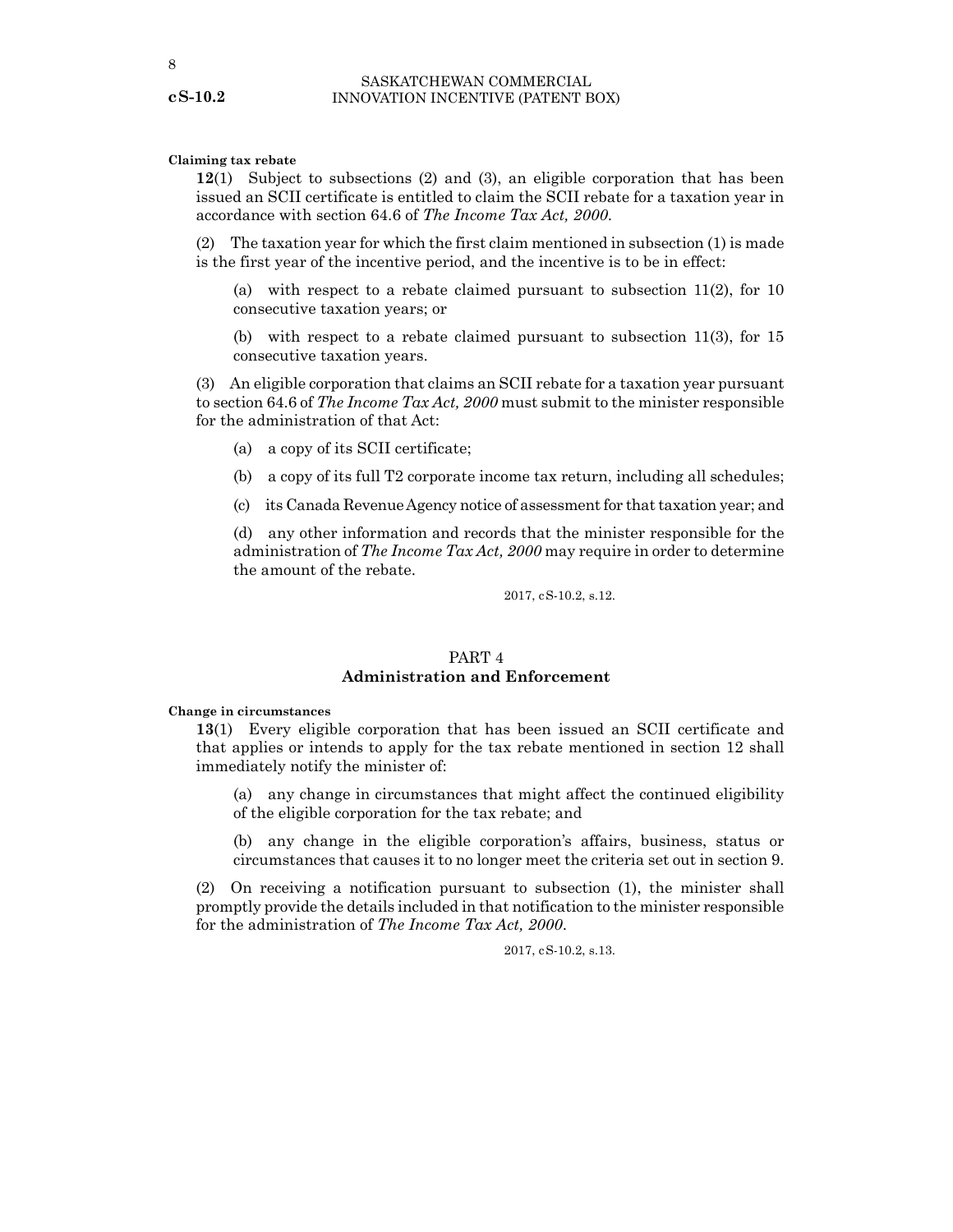#### <span id="page-7-0"></span>**Claiming tax rebate**

**12**(1) Subject to subsections (2) and (3), an eligible corporation that has been issued an SCII certificate is entitled to claim the SCII rebate for a taxation year in accordance with section 64.6 of *The Income Tax Act, 2000*.

(2) The taxation year for which the first claim mentioned in subsection (1) is made is the first year of the incentive period, and the incentive is to be in effect:

(a) with respect to a rebate claimed pursuant to subsection  $11(2)$ , for 10 consecutive taxation years; or

(b) with respect to a rebate claimed pursuant to subsection 11(3), for 15 consecutive taxation years.

(3) An eligible corporation that claims an SCII rebate for a taxation year pursuant to section 64.6 of *The Income Tax Act, 2000* must submit to the minister responsible for the administration of that Act:

- (a) a copy of its SCII certificate;
- (b) a copy of its full T2 corporate income tax return, including all schedules;
- (c) its Canada Revenue Agency notice of assessment for that taxation year; and

(d) any other information and records that the minister responsible for the administration of *The Income Tax Act, 2000* may require in order to determine the amount of the rebate.

2017, cS-10.2, s.12.

## PART 4 **Administration and Enforcement**

#### **Change in circumstances**

**13**(1) Every eligible corporation that has been issued an SCII certificate and that applies or intends to apply for the tax rebate mentioned in section 12 shall immediately notify the minister of:

(a) any change in circumstances that might affect the continued eligibility of the eligible corporation for the tax rebate; and

(b) any change in the eligible corporation's affairs, business, status or circumstances that causes it to no longer meet the criteria set out in section 9.

(2) On receiving a notification pursuant to subsection (1), the minister shall promptly provide the details included in that notification to the minister responsible for the administration of *The Income Tax Act, 2000*.

2017, cS-10.2, s.13.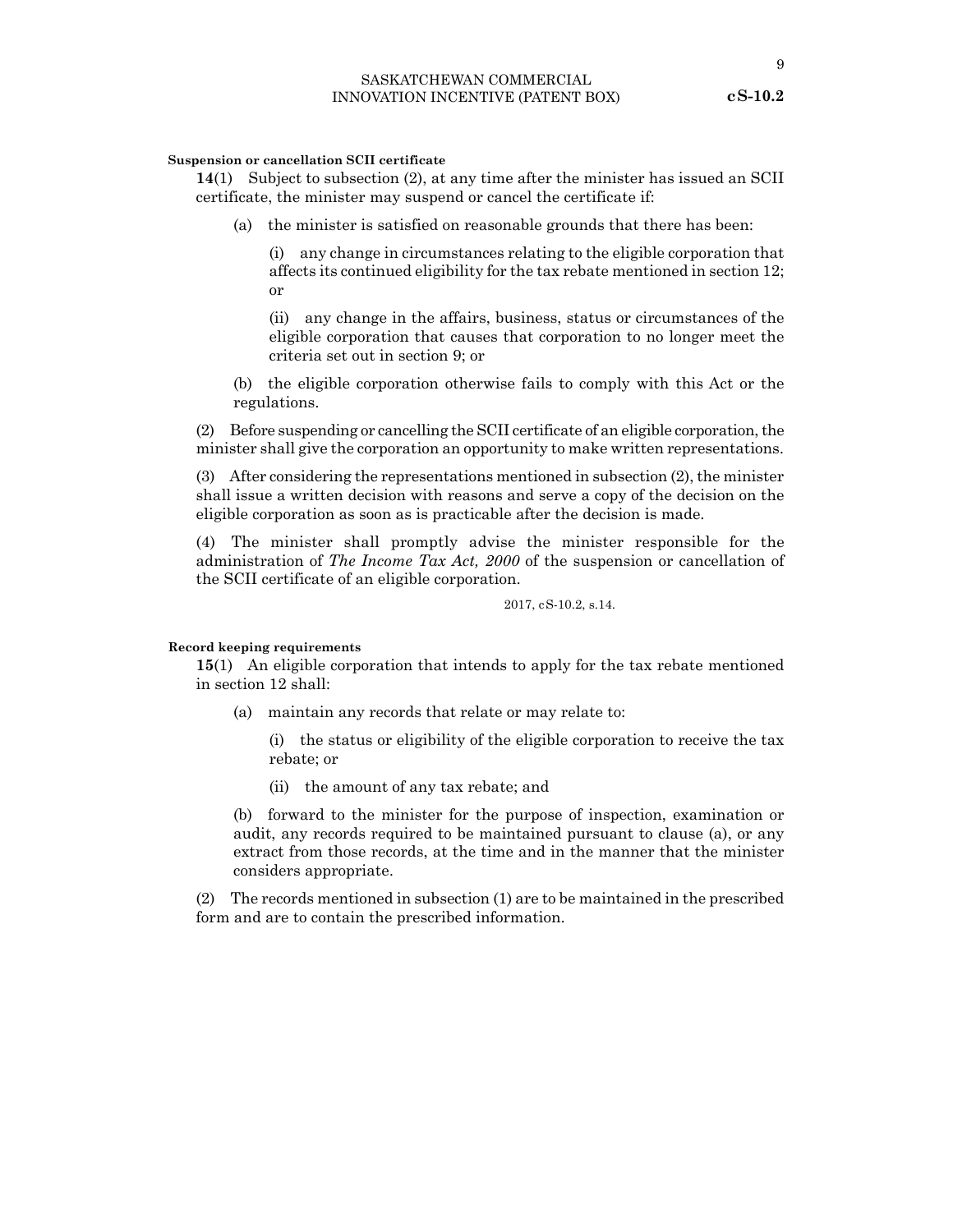#### <span id="page-8-0"></span>**Suspension or cancellation SCII certificate**

**14**(1) Subject to subsection (2), at any time after the minister has issued an SCII certificate, the minister may suspend or cancel the certificate if:

(a) the minister is satisfied on reasonable grounds that there has been:

(i) any change in circumstances relating to the eligible corporation that affects its continued eligibility for the tax rebate mentioned in section 12; or

(ii) any change in the affairs, business, status or circumstances of the eligible corporation that causes that corporation to no longer meet the criteria set out in section 9; or

(b) the eligible corporation otherwise fails to comply with this Act or the regulations.

(2) Before suspending or cancelling the SCII certificate of an eligible corporation, the minister shall give the corporation an opportunity to make written representations.

(3) After considering the representations mentioned in subsection (2), the minister shall issue a written decision with reasons and serve a copy of the decision on the eligible corporation as soon as is practicable after the decision is made.

(4) The minister shall promptly advise the minister responsible for the administration of *The Income Tax Act, 2000* of the suspension or cancellation of the SCII certificate of an eligible corporation.

2017, cS-10.2, s.14.

#### **Record keeping requirements**

**15**(1) An eligible corporation that intends to apply for the tax rebate mentioned in section 12 shall:

(a) maintain any records that relate or may relate to:

(i) the status or eligibility of the eligible corporation to receive the tax rebate; or

(ii) the amount of any tax rebate; and

(b) forward to the minister for the purpose of inspection, examination or audit, any records required to be maintained pursuant to clause (a), or any extract from those records, at the time and in the manner that the minister considers appropriate.

(2) The records mentioned in subsection (1) are to be maintained in the prescribed form and are to contain the prescribed information.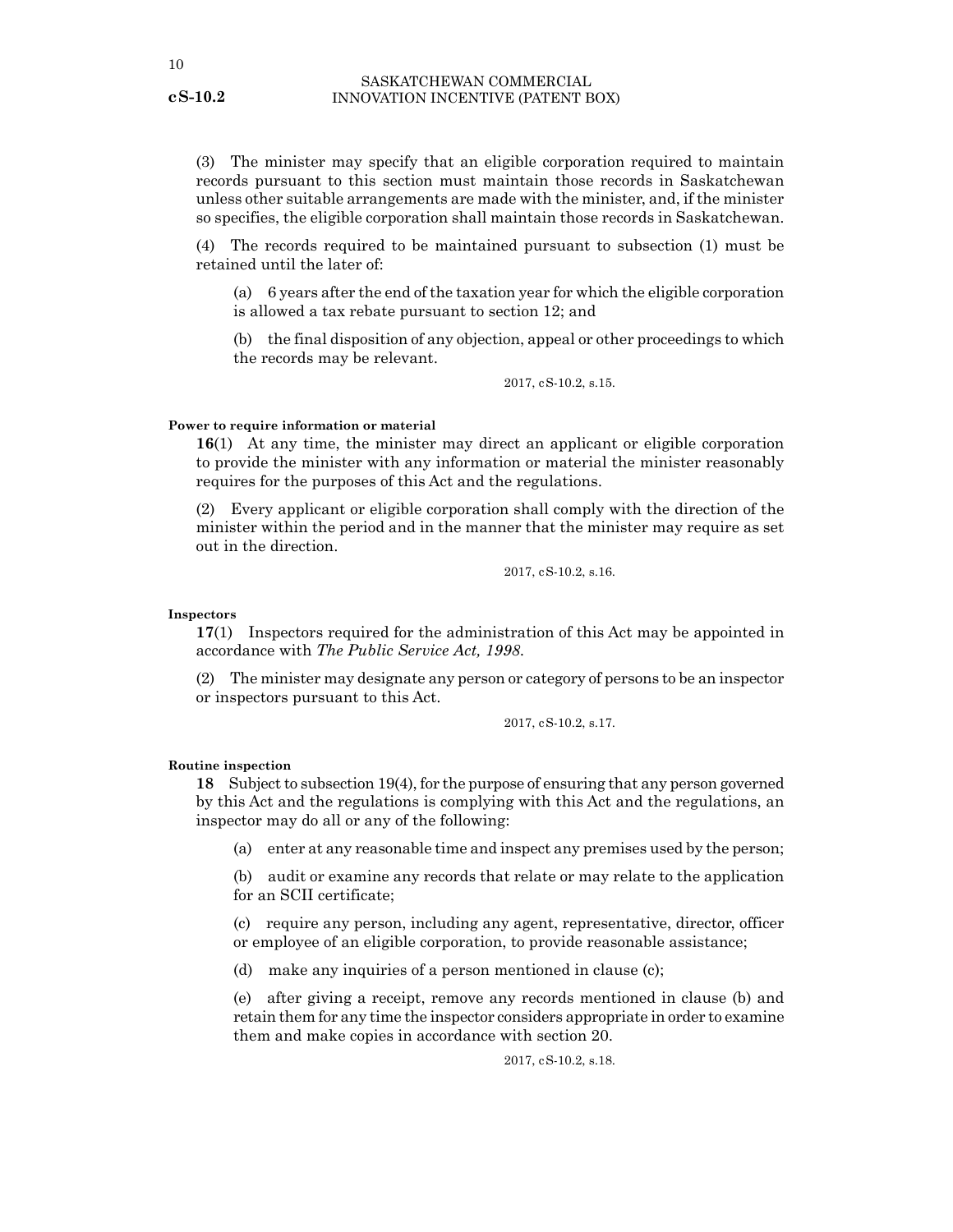<span id="page-9-0"></span>(3) The minister may specify that an eligible corporation required to maintain records pursuant to this section must maintain those records in Saskatchewan unless other suitable arrangements are made with the minister, and, if the minister so specifies, the eligible corporation shall maintain those records in Saskatchewan.

(4) The records required to be maintained pursuant to subsection (1) must be retained until the later of:

(a) 6 years after the end of the taxation year for which the eligible corporation is allowed a tax rebate pursuant to section 12; and

(b) the final disposition of any objection, appeal or other proceedings to which the records may be relevant.

2017, cS-10.2, s.15.

#### **Power to require information or material**

**16**(1) At any time, the minister may direct an applicant or eligible corporation to provide the minister with any information or material the minister reasonably requires for the purposes of this Act and the regulations.

(2) Every applicant or eligible corporation shall comply with the direction of the minister within the period and in the manner that the minister may require as set out in the direction.

2017, cS-10.2, s.16.

#### **Inspectors**

**17**(1) Inspectors required for the administration of this Act may be appointed in accordance with *The Public Service Act, 1998*.

(2) The minister may designate any person or category of persons to be an inspector or inspectors pursuant to this Act.

2017, cS-10.2, s.17.

#### **Routine inspection**

**18** Subject to subsection 19(4), for the purpose of ensuring that any person governed by this Act and the regulations is complying with this Act and the regulations, an inspector may do all or any of the following:

(a) enter at any reasonable time and inspect any premises used by the person;

(b) audit or examine any records that relate or may relate to the application for an SCII certificate;

(c) require any person, including any agent, representative, director, officer or employee of an eligible corporation, to provide reasonable assistance;

(d) make any inquiries of a person mentioned in clause (c);

(e) after giving a receipt, remove any records mentioned in clause (b) and retain them for any time the inspector considers appropriate in order to examine them and make copies in accordance with section 20.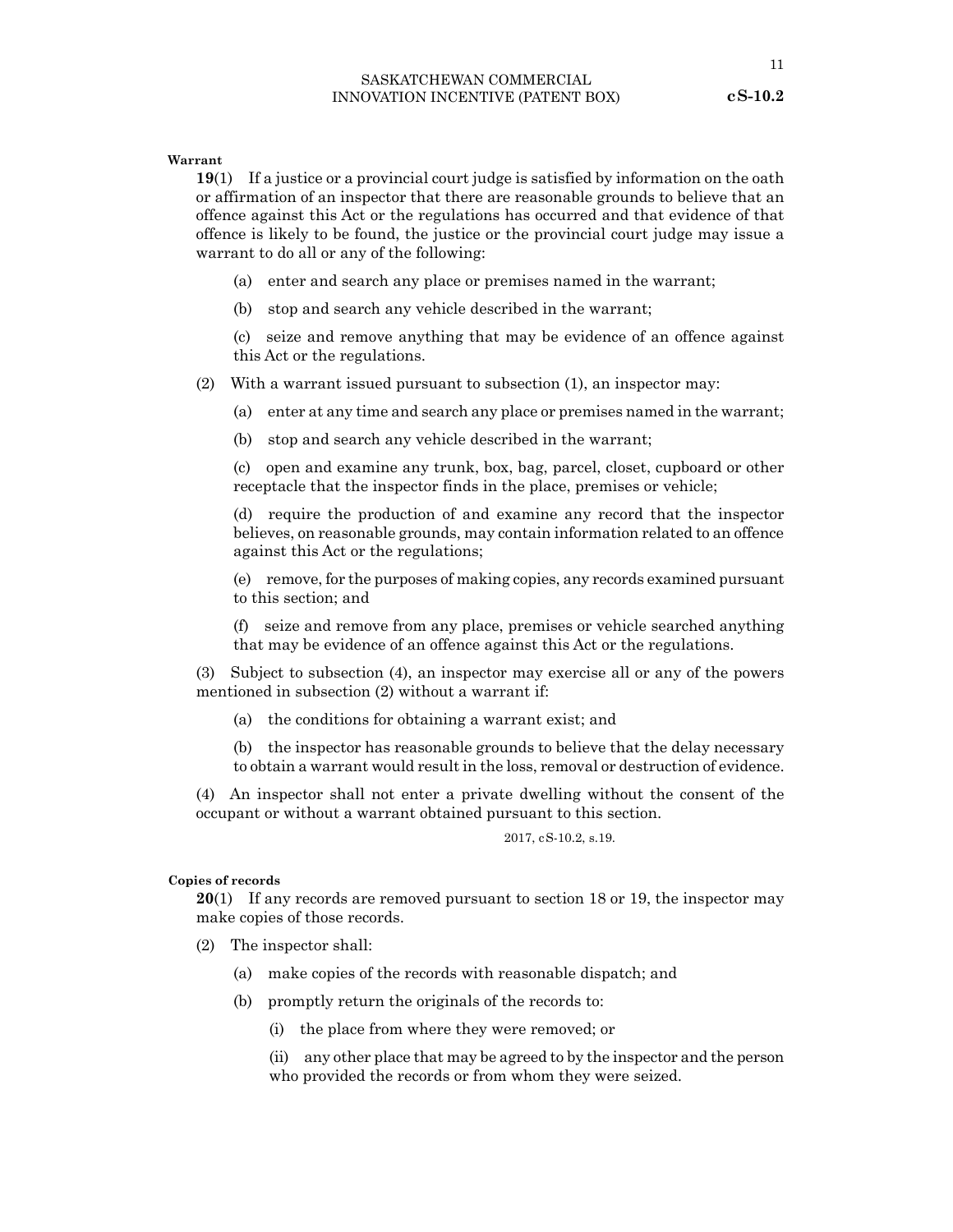<span id="page-10-0"></span>**19**(1) If a justice or a provincial court judge is satisfied by information on the oath or affirmation of an inspector that there are reasonable grounds to believe that an offence against this Act or the regulations has occurred and that evidence of that offence is likely to be found, the justice or the provincial court judge may issue a warrant to do all or any of the following:

- (a) enter and search any place or premises named in the warrant;
- (b) stop and search any vehicle described in the warrant;

(c) seize and remove anything that may be evidence of an offence against this Act or the regulations.

- (2) With a warrant issued pursuant to subsection (1), an inspector may:
	- (a) enter at any time and search any place or premises named in the warrant;
	- (b) stop and search any vehicle described in the warrant;

(c) open and examine any trunk, box, bag, parcel, closet, cupboard or other receptacle that the inspector finds in the place, premises or vehicle;

(d) require the production of and examine any record that the inspector believes, on reasonable grounds, may contain information related to an offence against this Act or the regulations;

(e) remove, for the purposes of making copies, any records examined pursuant to this section; and

(f) seize and remove from any place, premises or vehicle searched anything that may be evidence of an offence against this Act or the regulations.

(3) Subject to subsection (4), an inspector may exercise all or any of the powers mentioned in subsection (2) without a warrant if:

- (a) the conditions for obtaining a warrant exist; and
- (b) the inspector has reasonable grounds to believe that the delay necessary to obtain a warrant would result in the loss, removal or destruction of evidence.

(4) An inspector shall not enter a private dwelling without the consent of the occupant or without a warrant obtained pursuant to this section.

2017, cS-10.2, s.19.

#### **Copies of records**

**20**(1) If any records are removed pursuant to section 18 or 19, the inspector may make copies of those records.

- (2) The inspector shall:
	- (a) make copies of the records with reasonable dispatch; and
	- (b) promptly return the originals of the records to:
		- (i) the place from where they were removed; or
		- (ii) any other place that may be agreed to by the inspector and the person who provided the records or from whom they were seized.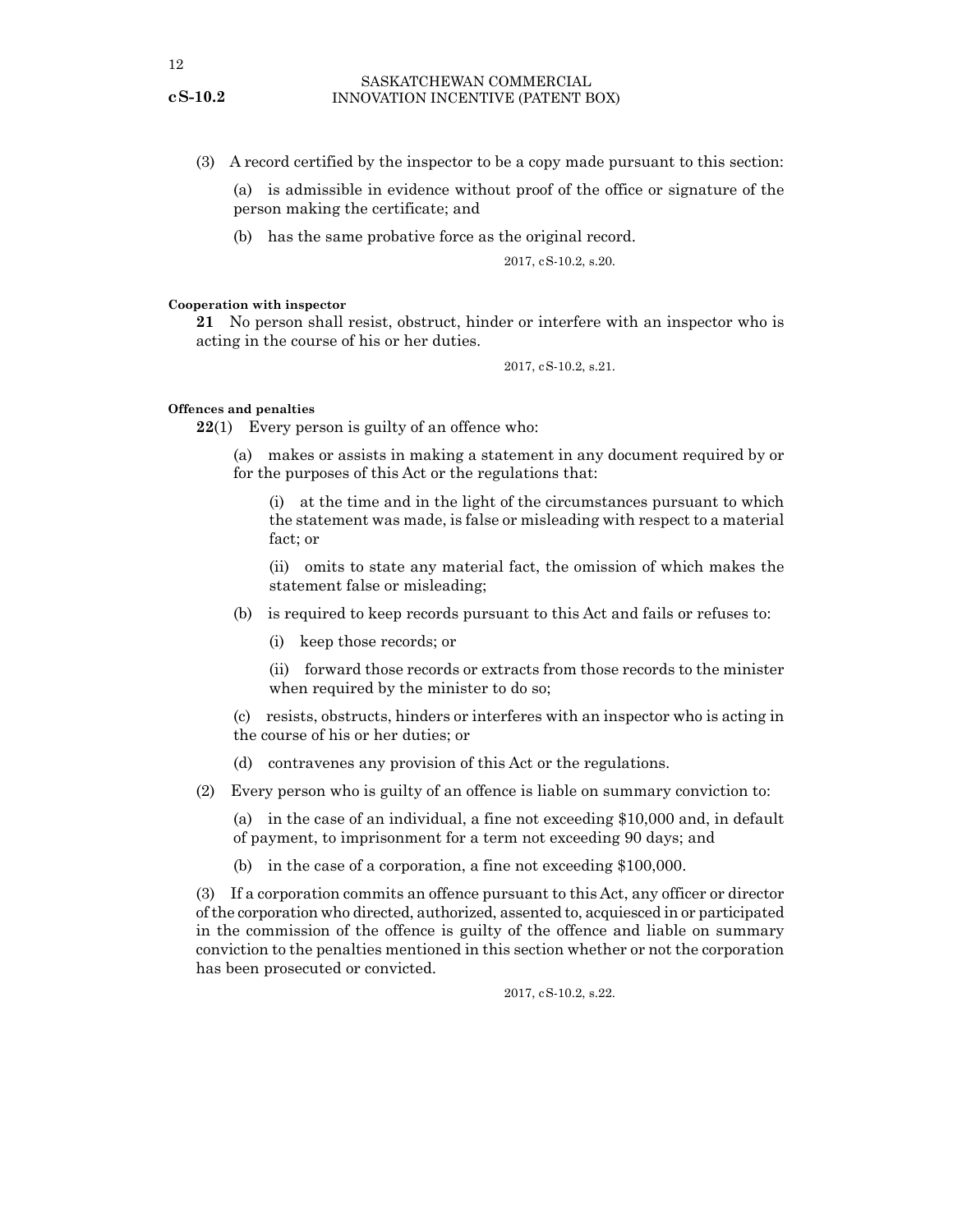<span id="page-11-0"></span>(3) A record certified by the inspector to be a copy made pursuant to this section:

(a) is admissible in evidence without proof of the office or signature of the person making the certificate; and

(b) has the same probative force as the original record.

2017, cS-10.2, s.20.

#### **Cooperation with inspector**

**21** No person shall resist, obstruct, hinder or interfere with an inspector who is acting in the course of his or her duties.

2017, cS-10.2, s.21.

#### **Offences and penalties**

**22**(1) Every person is guilty of an offence who:

(a) makes or assists in making a statement in any document required by or for the purposes of this Act or the regulations that:

(i) at the time and in the light of the circumstances pursuant to which the statement was made, is false or misleading with respect to a material fact; or

(ii) omits to state any material fact, the omission of which makes the statement false or misleading;

(b) is required to keep records pursuant to this Act and fails or refuses to:

(i) keep those records; or

(ii) forward those records or extracts from those records to the minister when required by the minister to do so;

(c) resists, obstructs, hinders or interferes with an inspector who is acting in the course of his or her duties; or

(d) contravenes any provision of this Act or the regulations.

(2) Every person who is guilty of an offence is liable on summary conviction to:

(a) in the case of an individual, a fine not exceeding \$10,000 and, in default of payment, to imprisonment for a term not exceeding 90 days; and

(b) in the case of a corporation, a fine not exceeding \$100,000.

(3) If a corporation commits an offence pursuant to this Act, any officer or director of the corporation who directed, authorized, assented to, acquiesced in or participated in the commission of the offence is guilty of the offence and liable on summary conviction to the penalties mentioned in this section whether or not the corporation has been prosecuted or convicted.

2017, cS-10.2, s.22.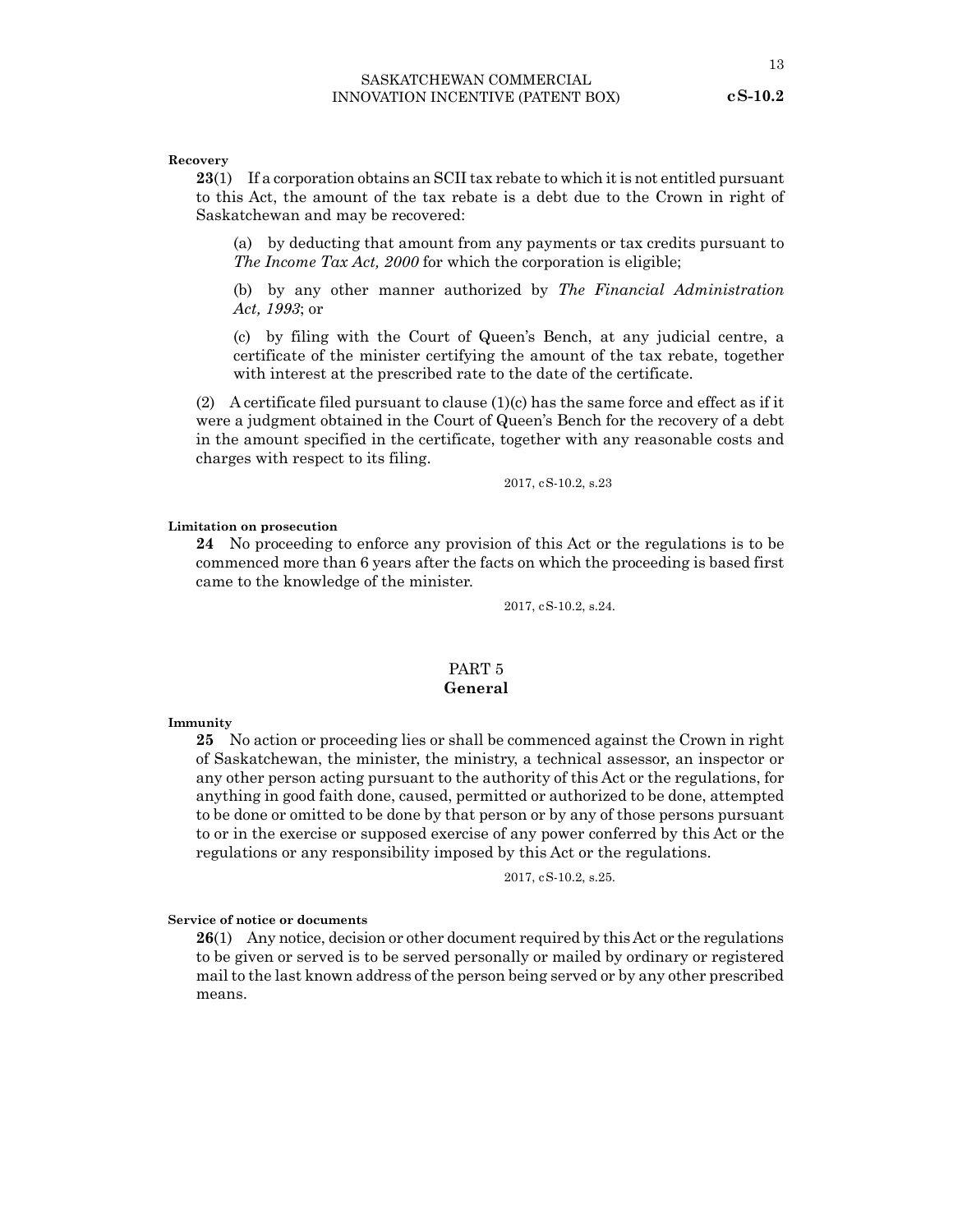<span id="page-12-0"></span>**Recovery**

**23**(1) If a corporation obtains an SCII tax rebate to which it is not entitled pursuant to this Act, the amount of the tax rebate is a debt due to the Crown in right of Saskatchewan and may be recovered:

(a) by deducting that amount from any payments or tax credits pursuant to *The Income Tax Act, 2000* for which the corporation is eligible;

(b) by any other manner authorized by *The Financial Administration Act, 1993*; or

(c) by filing with the Court of Queen's Bench, at any judicial centre, a certificate of the minister certifying the amount of the tax rebate, together with interest at the prescribed rate to the date of the certificate.

(2) A certificate filed pursuant to clause  $(1)(c)$  has the same force and effect as if it were a judgment obtained in the Court of Queen's Bench for the recovery of a debt in the amount specified in the certificate, together with any reasonable costs and charges with respect to its filing.

2017, cS-10.2, s.23

#### **Limitation on prosecution**

**24** No proceeding to enforce any provision of this Act or the regulations is to be commenced more than 6 years after the facts on which the proceeding is based first came to the knowledge of the minister.

2017, cS-10.2, s.24.

### PART 5 **General**

**Immunity**

**25** No action or proceeding lies or shall be commenced against the Crown in right of Saskatchewan, the minister, the ministry, a technical assessor, an inspector or any other person acting pursuant to the authority of this Act or the regulations, for anything in good faith done, caused, permitted or authorized to be done, attempted to be done or omitted to be done by that person or by any of those persons pursuant to or in the exercise or supposed exercise of any power conferred by this Act or the regulations or any responsibility imposed by this Act or the regulations.

2017, cS-10.2, s.25.

#### **Service of notice or documents**

**26**(1) Any notice, decision or other document required by this Act or the regulations to be given or served is to be served personally or mailed by ordinary or registered mail to the last known address of the person being served or by any other prescribed means.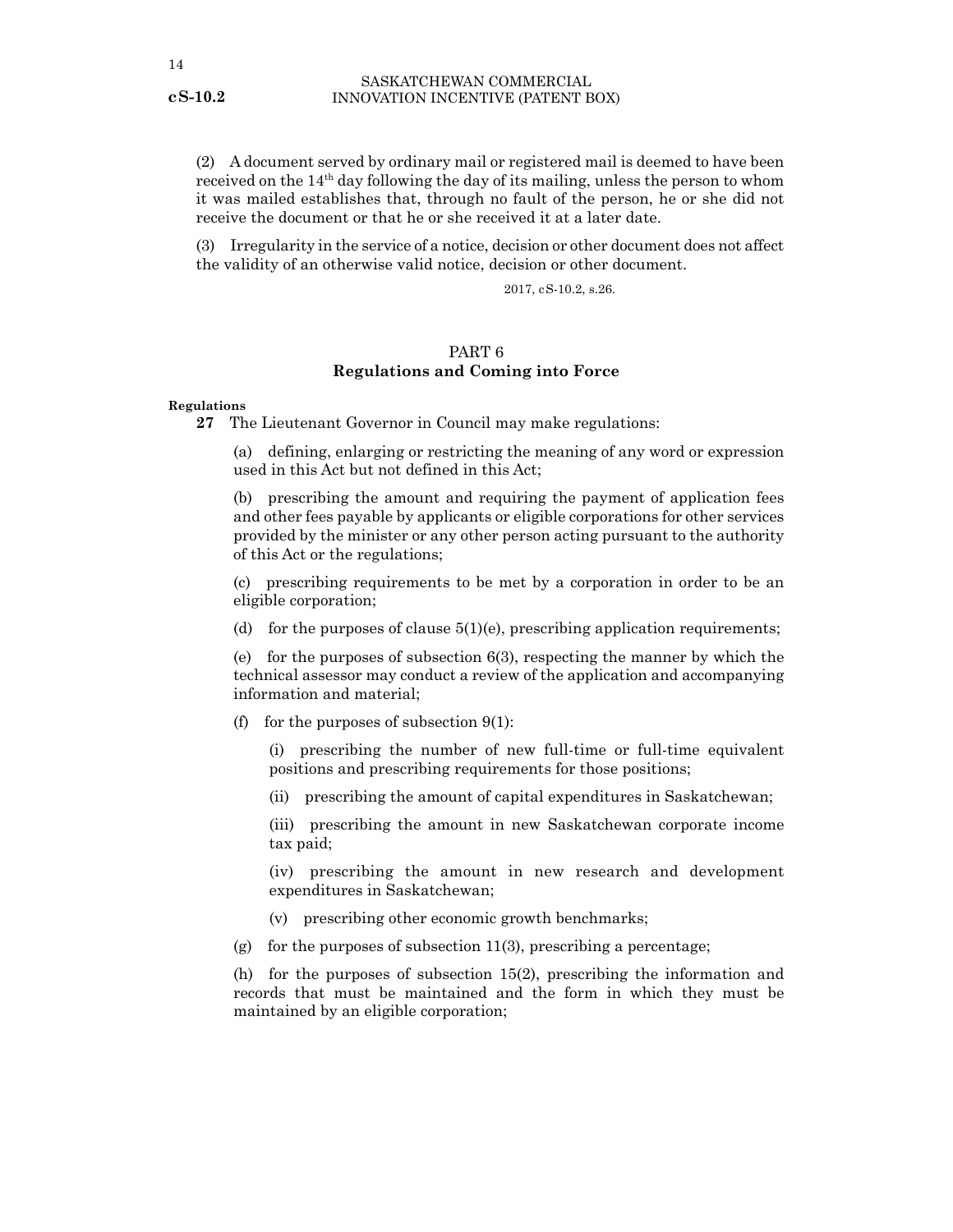<span id="page-13-0"></span>(2) A document served by ordinary mail or registered mail is deemed to have been received on the  $14<sup>th</sup>$  day following the day of its mailing, unless the person to whom it was mailed establishes that, through no fault of the person, he or she did not receive the document or that he or she received it at a later date.

(3) Irregularity in the service of a notice, decision or other document does not affect the validity of an otherwise valid notice, decision or other document.

2017, cS-10.2, s.26.

# PART 6 **Regulations and Coming into Force**

#### **Regulations**

**27** The Lieutenant Governor in Council may make regulations:

(a) defining, enlarging or restricting the meaning of any word or expression used in this Act but not defined in this Act;

(b) prescribing the amount and requiring the payment of application fees and other fees payable by applicants or eligible corporations for other services provided by the minister or any other person acting pursuant to the authority of this Act or the regulations;

(c) prescribing requirements to be met by a corporation in order to be an eligible corporation;

(d) for the purposes of clause  $5(1)(e)$ , prescribing application requirements;

(e) for the purposes of subsection  $6(3)$ , respecting the manner by which the technical assessor may conduct a review of the application and accompanying information and material;

(f) for the purposes of subsection  $9(1)$ :

(i) prescribing the number of new full-time or full-time equivalent positions and prescribing requirements for those positions;

(ii) prescribing the amount of capital expenditures in Saskatchewan;

(iii) prescribing the amount in new Saskatchewan corporate income tax paid;

(iv) prescribing the amount in new research and development expenditures in Saskatchewan;

- (v) prescribing other economic growth benchmarks;
- (g) for the purposes of subsection  $11(3)$ , prescribing a percentage;

(h) for the purposes of subsection 15(2), prescribing the information and records that must be maintained and the form in which they must be maintained by an eligible corporation;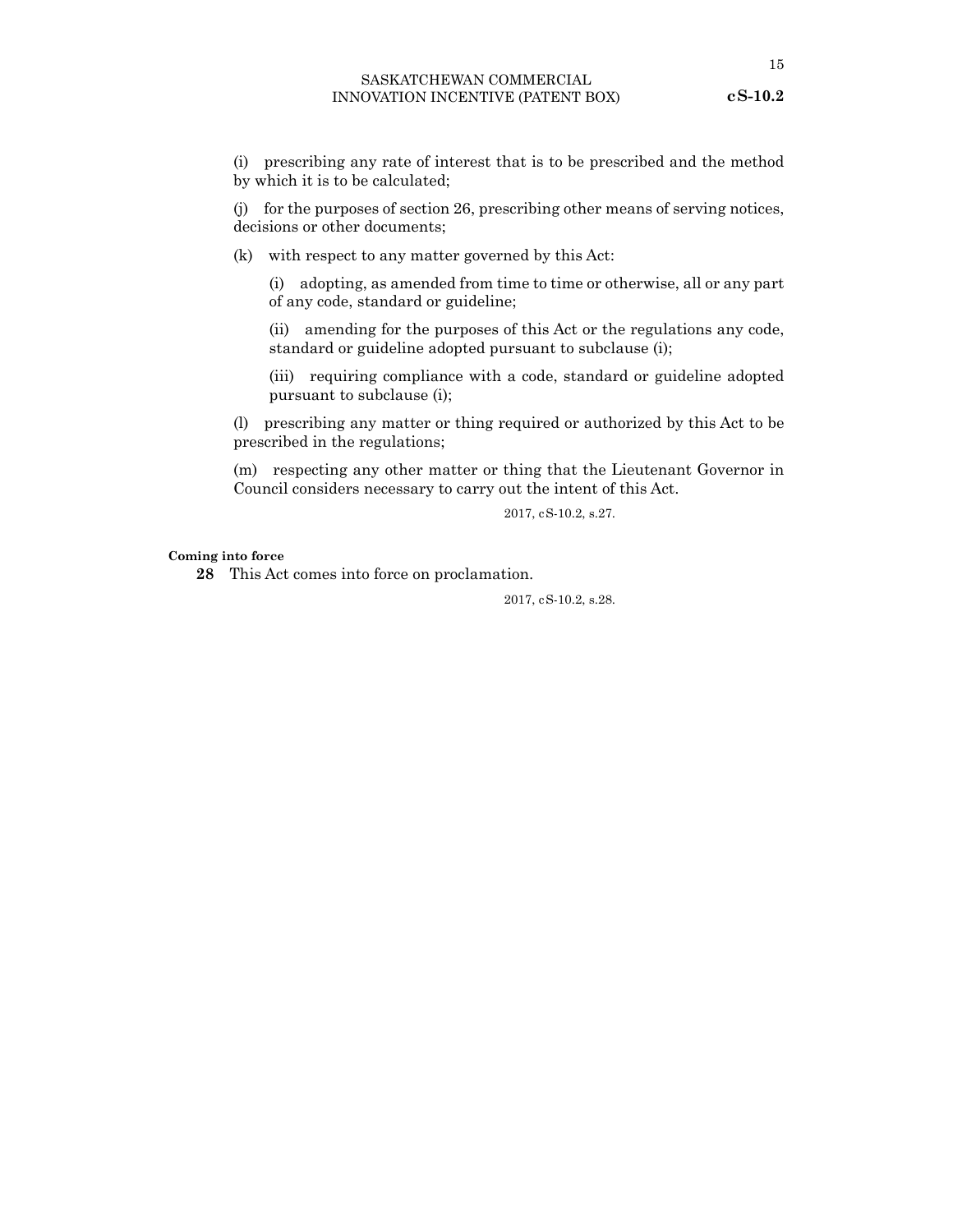<span id="page-14-0"></span>(i) prescribing any rate of interest that is to be prescribed and the method by which it is to be calculated;

(j) for the purposes of section 26, prescribing other means of serving notices, decisions or other documents;

(k) with respect to any matter governed by this Act:

(i) adopting, as amended from time to time or otherwise, all or any part of any code, standard or guideline;

(ii) amending for the purposes of this Act or the regulations any code, standard or guideline adopted pursuant to subclause (i);

(iii) requiring compliance with a code, standard or guideline adopted pursuant to subclause (i);

(l) prescribing any matter or thing required or authorized by this Act to be prescribed in the regulations;

(m) respecting any other matter or thing that the Lieutenant Governor in Council considers necessary to carry out the intent of this Act.

2017, cS-10.2, s.27.

#### **Coming into force**

**28** This Act comes into force on proclamation.

2017, cS-10.2, s.28.